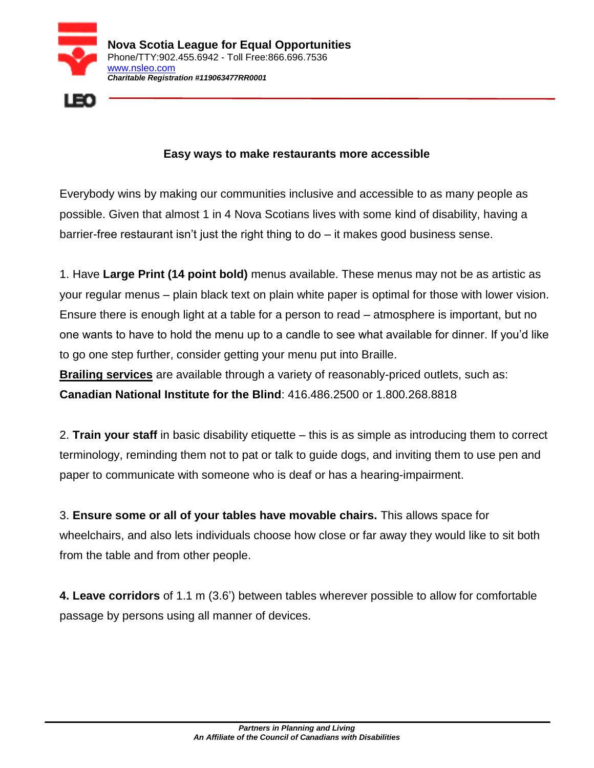



## **Easy ways to make restaurants more accessible**

Everybody wins by making our communities inclusive and accessible to as many people as possible. Given that almost 1 in 4 Nova Scotians lives with some kind of disability, having a barrier-free restaurant isn't just the right thing to do – it makes good business sense.

1. Have **Large Print (14 point bold)** menus available. These menus may not be as artistic as your regular menus – plain black text on plain white paper is optimal for those with lower vision. Ensure there is enough light at a table for a person to read – atmosphere is important, but no one wants to have to hold the menu up to a candle to see what available for dinner. If you'd like to go one step further, consider getting your menu put into Braille.

**Brailing services** are available through a variety of reasonably-priced outlets, such as: **Canadian National Institute for the Blind**: 416.486.2500 or 1.800.268.8818

2. **Train your staff** in basic disability etiquette – this is as simple as introducing them to correct terminology, reminding them not to pat or talk to guide dogs, and inviting them to use pen and paper to communicate with someone who is deaf or has a hearing-impairment.

3. **Ensure some or all of your tables have movable chairs.** This allows space for wheelchairs, and also lets individuals choose how close or far away they would like to sit both from the table and from other people.

**4. Leave corridors** of 1.1 m (3.6') between tables wherever possible to allow for comfortable passage by persons using all manner of devices.